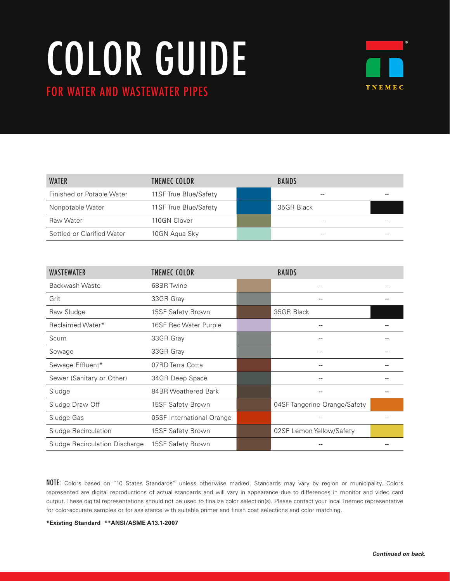## COLOR GUIDE FOR WATER AND WASTEWATER PIPES



| <b>WATER</b>               | <b>TNEMEC COLOR</b>    | <b>BANDS</b> |  |
|----------------------------|------------------------|--------------|--|
| Finished or Potable Water  | 11 SF True Blue/Safety |              |  |
| Nonpotable Water           | 11 SF True Blue/Safety | 35GR Black   |  |
| Raw Water                  | 110GN Clover           |              |  |
| Settled or Clarified Water | 10GN Agua Sky          |              |  |

| <b>WASTEWATER</b>              | <b>TNEMEC COLOR</b>       | <b>BANDS</b>                 |  |
|--------------------------------|---------------------------|------------------------------|--|
| Backwash Waste                 | 68BR Twine                | $-$                          |  |
| Grit                           | 33GR Gray                 |                              |  |
| Raw Sludge                     | 15SF Safety Brown         | 35GR Black                   |  |
| Reclaimed Water*               | 16SF Rec Water Purple     |                              |  |
| Scum                           | 33GR Gray                 |                              |  |
| Sewage                         | 33GR Gray                 |                              |  |
| Sewage Effluent*               | 07RD Terra Cotta          |                              |  |
| Sewer (Sanitary or Other)      | 34GR Deep Space           |                              |  |
| Sludge                         | 84BR Weathered Bark       |                              |  |
| Sludge Draw Off                | 15SF Safety Brown         | 04SF Tangerine Orange/Safety |  |
| Sludge Gas                     | 05SF International Orange |                              |  |
| Sludge Recirculation           | 15SF Safety Brown         | 02SF Lemon Yellow/Safety     |  |
| Sludge Recirculation Discharge | 15SF Safety Brown         |                              |  |

NOTE: Colors based on "10 States Standards" unless otherwise marked. Standards may vary by region or municipality. Colors represented are digital reproductions of actual standards and will vary in appearance due to differences in monitor and video card output. These digital representations should not be used to finalize color selection(s). Please contact your local Tnemec representative for color-accurate samples or for assistance with suitable primer and finish coat selections and color matching.

**\*Existing Standard \*\*ANSI/ASME A13.1-2007**